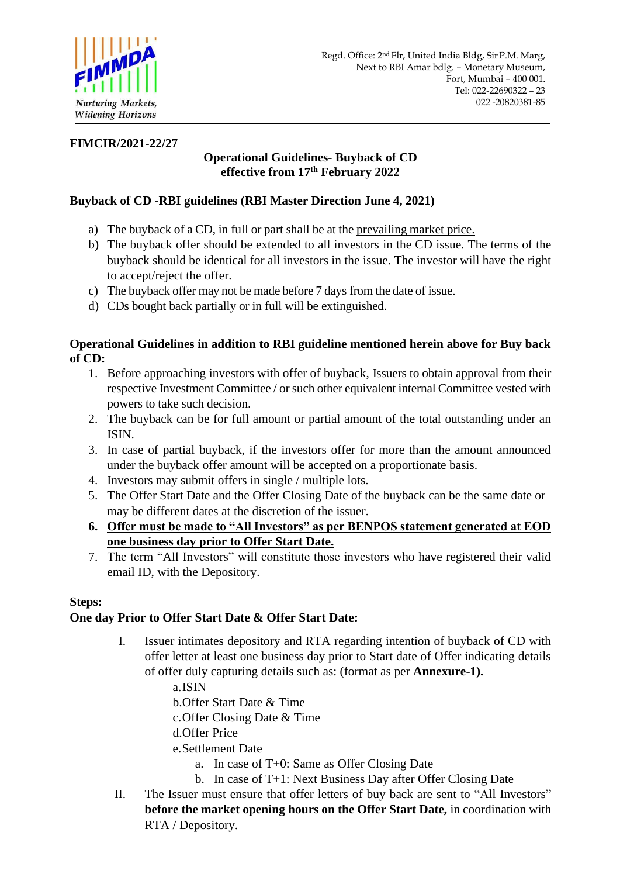

## **FIMCIR/2021-22/27**

# **Operational Guidelines- Buyback of CD effective from 17th February 2022**

# **Buyback of CD -RBI guidelines (RBI Master Direction June 4, 2021)**

- a) The buyback of a CD, in full or part shall be at the prevailing market price.
- b) The buyback offer should be extended to all investors in the CD issue. The terms of the buyback should be identical for all investors in the issue. The investor will have the right to accept/reject the offer.
- c) The buyback offer may not be made before 7 days from the date of issue.
- d) CDs bought back partially or in full will be extinguished.

# **Operational Guidelines in addition to RBI guideline mentioned herein above for Buy back of CD:**

- 1. Before approaching investors with offer of buyback, Issuers to obtain approval from their respective Investment Committee / or such other equivalent internal Committee vested with powers to take such decision.
- 2. The buyback can be for full amount or partial amount of the total outstanding under an ISIN.
- 3. In case of partial buyback, if the investors offer for more than the amount announced under the buyback offer amount will be accepted on a proportionate basis.
- 4. Investors may submit offers in single / multiple lots.
- 5. The Offer Start Date and the Offer Closing Date of the buyback can be the same date or may be different dates at the discretion of the issuer.
- **6. Offer must be made to "All Investors" as per BENPOS statement generated at EOD one business day prior to Offer Start Date.**
- 7. The term "All Investors" will constitute those investors who have registered their valid email ID, with the Depository.

# **Steps:**

## **One day Prior to Offer Start Date & Offer Start Date:**

- I. Issuer intimates depository and RTA regarding intention of buyback of CD with offer letter at least one business day prior to Start date of Offer indicating details of offer duly capturing details such as: (format as per **Annexure-1).**
	- a.ISIN
	- b.Offer Start Date & Time
	- c.Offer Closing Date & Time
	- d.Offer Price

e.Settlement Date

- a. In case of T+0: Same as Offer Closing Date
- b. In case of T+1: Next Business Day after Offer Closing Date
- II. The Issuer must ensure that offer letters of buy back are sent to "All Investors" **before the market opening hours on the Offer Start Date,** in coordination with RTA / Depository.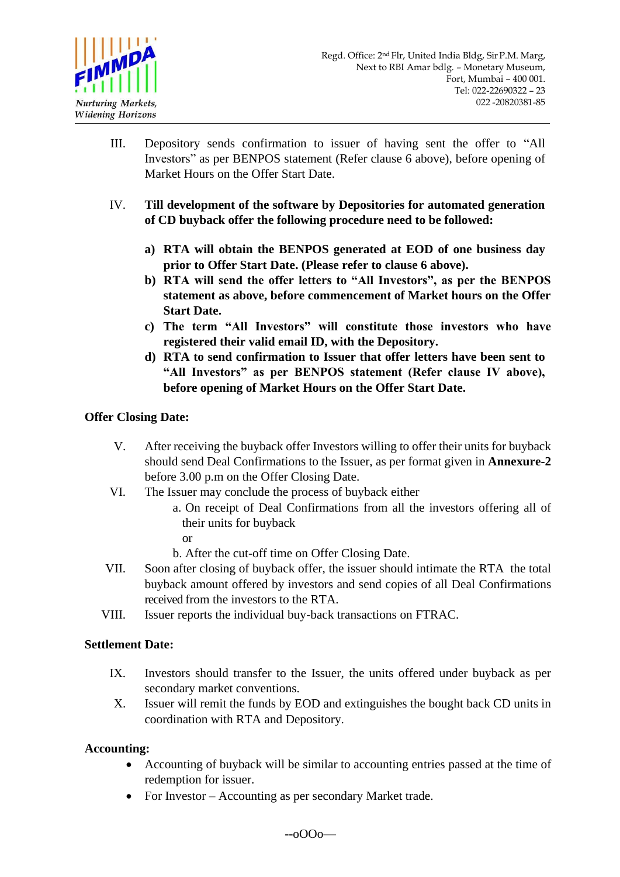

- III. Depository sends confirmation to issuer of having sent the offer to "All Investors" as per BENPOS statement (Refer clause 6 above), before opening of Market Hours on the Offer Start Date.
- IV. **Till development of the software by Depositories for automated generation of CD buyback offer the following procedure need to be followed:**
	- **a) RTA will obtain the BENPOS generated at EOD of one business day prior to Offer Start Date. (Please refer to clause 6 above).**
	- **b) RTA will send the offer letters to "All Investors", as per the BENPOS statement as above, before commencement of Market hours on the Offer Start Date.**
	- **c) The term "All Investors" will constitute those investors who have registered their valid email ID, with the Depository.**
	- **d) RTA to send confirmation to Issuer that offer letters have been sent to "All Investors" as per BENPOS statement (Refer clause IV above), before opening of Market Hours on the Offer Start Date.**

# **Offer Closing Date:**

- V. After receiving the buyback offer Investors willing to offer their units for buyback should send Deal Confirmations to the Issuer, as per format given in **Annexure-2** before 3.00 p.m on the Offer Closing Date.
- VI. The Issuer may conclude the process of buyback either
	- a. On receipt of Deal Confirmations from all the investors offering all of their units for buyback
		- or
	- b. After the cut-off time on Offer Closing Date.
- VII. Soon after closing of buyback offer, the issuer should intimate the RTA the total buyback amount offered by investors and send copies of all Deal Confirmations received from the investors to the RTA.
- VIII. Issuer reports the individual buy-back transactions on FTRAC.

## **Settlement Date:**

- IX. Investors should transfer to the Issuer, the units offered under buyback as per secondary market conventions.
- X. Issuer will remit the funds by EOD and extinguishes the bought back CD units in coordination with RTA and Depository.

## **Accounting:**

- Accounting of buyback will be similar to accounting entries passed at the time of redemption for issuer.
- For Investor Accounting as per secondary Market trade.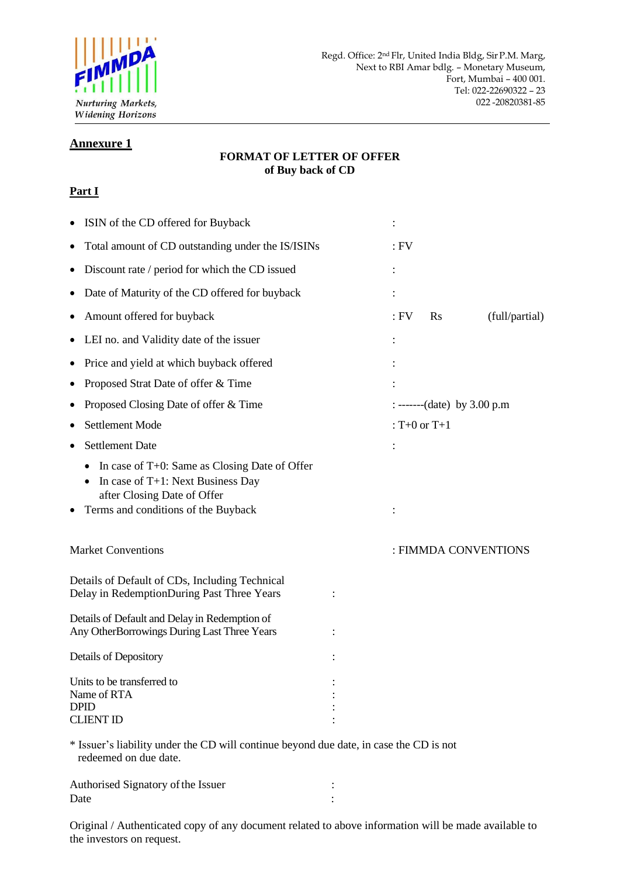

#### **Annexure 1**

#### **FORMAT OF LETTER OF OFFER of Buy back of CD**

## **Part I**

| ISIN of the CD offered for Buyback                                                                                                                          |  |        |                               |                      |  |
|-------------------------------------------------------------------------------------------------------------------------------------------------------------|--|--------|-------------------------------|----------------------|--|
| Total amount of CD outstanding under the IS/ISINs                                                                                                           |  | $:$ FV |                               |                      |  |
| Discount rate / period for which the CD issued                                                                                                              |  |        |                               |                      |  |
| Date of Maturity of the CD offered for buyback                                                                                                              |  |        |                               |                      |  |
| Amount offered for buyback                                                                                                                                  |  | $:$ FV | <b>Rs</b>                     | (full/partial)       |  |
| LEI no. and Validity date of the issuer                                                                                                                     |  |        |                               |                      |  |
| Price and yield at which buyback offered                                                                                                                    |  |        |                               |                      |  |
| Proposed Strat Date of offer & Time                                                                                                                         |  |        |                               |                      |  |
| Proposed Closing Date of offer & Time                                                                                                                       |  |        | : -------(date) by $3.00$ p.m |                      |  |
| <b>Settlement Mode</b>                                                                                                                                      |  |        | : T+0 or $T+1$                |                      |  |
| <b>Settlement Date</b>                                                                                                                                      |  |        |                               |                      |  |
| In case of $T+0$ : Same as Closing Date of Offer<br>In case of T+1: Next Business Day<br>after Closing Date of Offer<br>Terms and conditions of the Buyback |  |        |                               |                      |  |
| <b>Market Conventions</b>                                                                                                                                   |  |        |                               | : FIMMDA CONVENTIONS |  |
| Details of Default of CDs, Including Technical<br>Delay in RedemptionDuring Past Three Years                                                                |  |        |                               |                      |  |
| Details of Default and Delay in Redemption of<br>Any OtherBorrowings During Last Three Years                                                                |  |        |                               |                      |  |
| Details of Depository                                                                                                                                       |  |        |                               |                      |  |
| Units to be transferred to<br>Name of RTA<br><b>DPID</b><br><b>CLIENT ID</b>                                                                                |  |        |                               |                      |  |
| * Issuer's liability under the CD will continue beyond due date, in case the CD is not<br>redeemed on due date.                                             |  |        |                               |                      |  |
| Authorised Signatory of the Issuer                                                                                                                          |  |        |                               |                      |  |

Original / Authenticated copy of any document related to above information will be made available to the investors on request.

Date in the set of the set of the set of the set of the set of the set of the set of the set of the set of the set of the set of the set of the set of the set of the set of the set of the set of the set of the set of the s